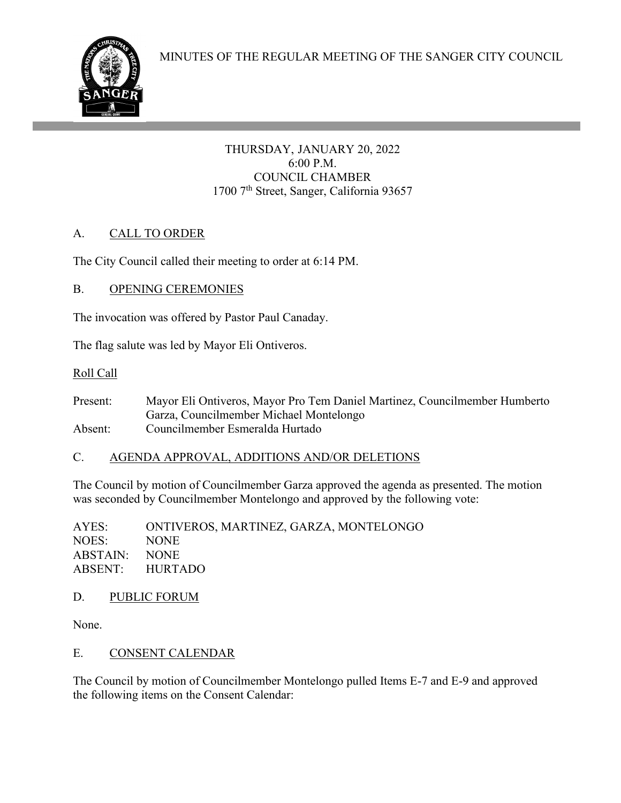

THURSDAY, JANUARY 20, 2022 6:00 P.M. COUNCIL CHAMBER 1700 7<sup>th</sup> Street, Sanger, California 93657

# A. CALL TO ORDER

The City Council called their meeting to order at 6:14 PM.

# B. OPENING CEREMONIES

ł

The invocation was offered by Pastor Paul Canaday.

The flag salute was led by Mayor Eli Ontiveros.

## Roll Call

Present: Mayor Eli Ontiveros, Mayor Pro Tem Daniel Martinez, Councilmember Humberto Garza, Councilmember Michael Montelongo Absent: Councilmember Esmeralda Hurtado

# C. AGENDA APPROVAL, ADDITIONS AND/OR DELETIONS

The Council by motion of Councilmember Garza approved the agenda as presented. The motion was seconded by Councilmember Montelongo and approved by the following vote:

AYES: ONTIVEROS, MARTINEZ, GARZA, MONTELONGO NOES: NONE ABSTAIN: NONE ABSENT: HURTADO

# D. PUBLIC FORUM

None.

# E. CONSENT CALENDAR

The Council by motion of Councilmember Montelongo pulled Items E-7 and E-9 and approved the following items on the Consent Calendar: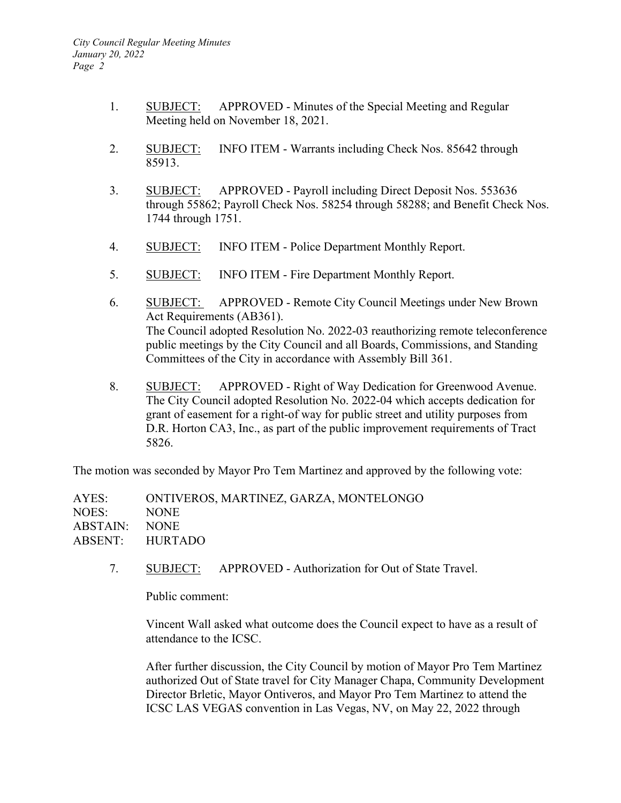- 1. SUBJECT: APPROVED Minutes of the Special Meeting and Regular Meeting held on November 18, 2021.
- 2. SUBJECT: INFO ITEM Warrants including Check Nos. 85642 through 85913.
- 3. SUBJECT: APPROVED Payroll including Direct Deposit Nos. 553636 through 55862; Payroll Check Nos. 58254 through 58288; and Benefit Check Nos. 1744 through 1751.
- 4. SUBJECT: INFO ITEM Police Department Monthly Report.
- 5. SUBJECT: INFO ITEM Fire Department Monthly Report.
- 6. SUBJECT: APPROVED Remote City Council Meetings under New Brown Act Requirements (AB361). The Council adopted Resolution No. 2022-03 reauthorizing remote teleconference public meetings by the City Council and all Boards, Commissions, and Standing Committees of the City in accordance with Assembly Bill 361.
- 8. SUBJECT: APPROVED Right of Way Dedication for Greenwood Avenue. The City Council adopted Resolution No. 2022-04 which accepts dedication for grant of easement for a right-of way for public street and utility purposes from D.R. Horton CA3, Inc., as part of the public improvement requirements of Tract 5826.

The motion was seconded by Mayor Pro Tem Martinez and approved by the following vote:

AYES: ONTIVEROS, MARTINEZ, GARZA, MONTELONGO NOES: NONE ABSTAIN: NONE ABSENT: HURTADO

7. SUBJECT: APPROVED - Authorization for Out of State Travel.

Public comment:

Vincent Wall asked what outcome does the Council expect to have as a result of attendance to the ICSC.

After further discussion, the City Council by motion of Mayor Pro Tem Martinez authorized Out of State travel for City Manager Chapa, Community Development Director Brletic, Mayor Ontiveros, and Mayor Pro Tem Martinez to attend the ICSC LAS VEGAS convention in Las Vegas, NV, on May 22, 2022 through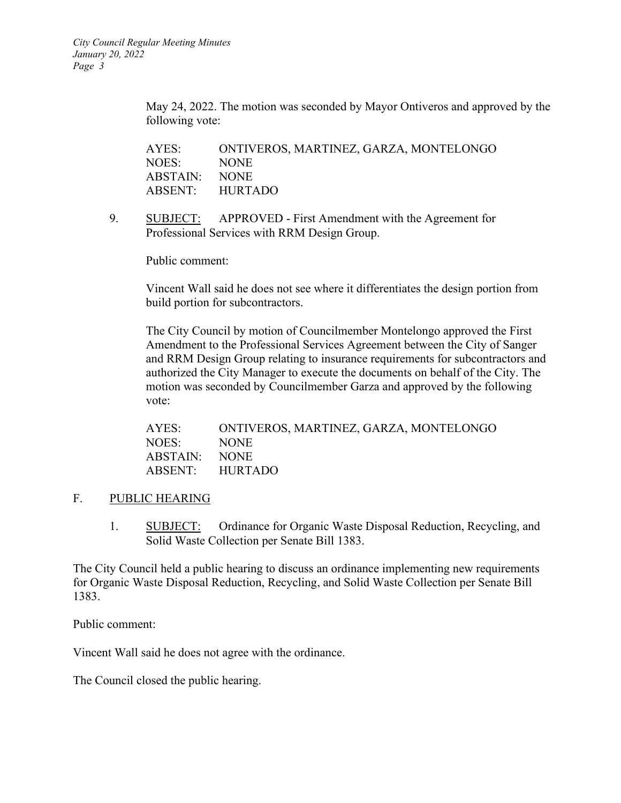May 24, 2022. The motion was seconded by Mayor Ontiveros and approved by the following vote:

AYES: ONTIVEROS, MARTINEZ, GARZA, MONTELONGO NOES: NONE ABSTAIN: NONE ABSENT: HURTADO

9. SUBJECT: APPROVED - First Amendment with the Agreement for Professional Services with RRM Design Group.

Public comment:

Vincent Wall said he does not see where it differentiates the design portion from build portion for subcontractors.

The City Council by motion of Councilmember Montelongo approved the First Amendment to the Professional Services Agreement between the City of Sanger and RRM Design Group relating to insurance requirements for subcontractors and authorized the City Manager to execute the documents on behalf of the City. The motion was seconded by Councilmember Garza and approved by the following vote:

| AYES:           | ONTIVEROS, MARTINEZ, GARZA, MONTELONGO |
|-----------------|----------------------------------------|
| NOES:           | <b>NONE</b>                            |
| ABSTAIN:        | NONE.                                  |
| ABSENT: HURTADO |                                        |

#### F. PUBLIC HEARING

1. SUBJECT: Ordinance for Organic Waste Disposal Reduction, Recycling, and Solid Waste Collection per Senate Bill 1383.

The City Council held a public hearing to discuss an ordinance implementing new requirements for Organic Waste Disposal Reduction, Recycling, and Solid Waste Collection per Senate Bill 1383.

Public comment:

Vincent Wall said he does not agree with the ordinance.

The Council closed the public hearing.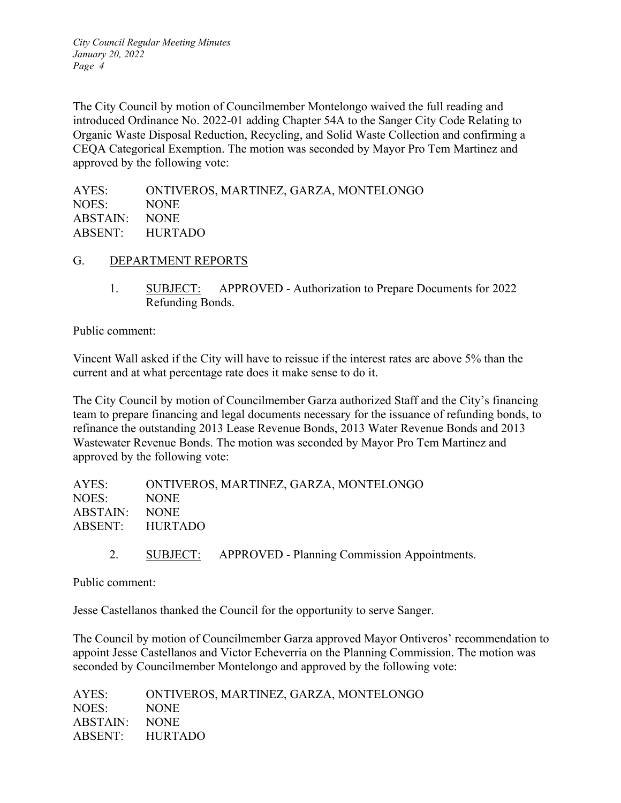*City Council Regular Meeting Minutes January 20, 2022 Page 4*

The City Council by motion of Councilmember Montelongo waived the full reading and introduced Ordinance No. 2022-01 adding Chapter 54A to the Sanger City Code Relating to Organic Waste Disposal Reduction, Recycling, and Solid Waste Collection and confirming a CEQA Categorical Exemption. The motion was seconded by Mayor Pro Tem Martinez and approved by the following vote:

| AYES:         | ONTIVEROS, MARTINEZ, GARZA, MONTELONGO |
|---------------|----------------------------------------|
| NOES:         | NONE.                                  |
| ABSTAIN: NONE |                                        |
|               | ABSENT: HURTADO                        |
|               |                                        |

- G. DEPARTMENT REPORTS
	- 1. SUBJECT: APPROVED Authorization to Prepare Documents for 2022 Refunding Bonds.

Public comment:

Vincent Wall asked if the City will have to reissue if the interest rates are above 5% than the current and at what percentage rate does it make sense to do it.

The City Council by motion of Councilmember Garza authorized Staff and the City's financing team to prepare financing and legal documents necessary for the issuance of refunding bonds, to refinance the outstanding 2013 Lease Revenue Bonds, 2013 Water Revenue Bonds and 2013 Wastewater Revenue Bonds. The motion was seconded by Mayor Pro Tem Martinez and approved by the following vote:

| AYES:           | ONTIVEROS, MARTINEZ, GARZA, MONTELONGO |
|-----------------|----------------------------------------|
| NOES:           | NONE.                                  |
| ABSTAIN: NONE   |                                        |
| ABSENT: HURTADO |                                        |
|                 |                                        |

2. SUBJECT: APPROVED - Planning Commission Appointments.

Public comment:

Jesse Castellanos thanked the Council for the opportunity to serve Sanger.

The Council by motion of Councilmember Garza approved Mayor Ontiveros' recommendation to appoint Jesse Castellanos and Victor Echeverria on the Planning Commission. The motion was seconded by Councilmember Montelongo and approved by the following vote:

AYES: ONTIVEROS, MARTINEZ, GARZA, MONTELONGO NOES: NONE ABSTAIN: NONE ABSENT: HURTADO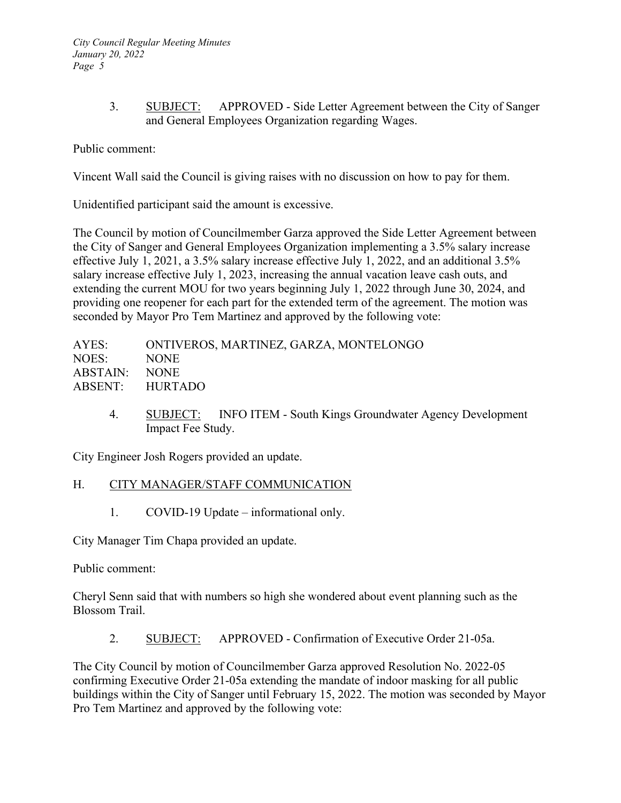3. SUBJECT: APPROVED - Side Letter Agreement between the City of Sanger and General Employees Organization regarding Wages.

Public comment:

Vincent Wall said the Council is giving raises with no discussion on how to pay for them.

Unidentified participant said the amount is excessive.

The Council by motion of Councilmember Garza approved the Side Letter Agreement between the City of Sanger and General Employees Organization implementing a 3.5% salary increase effective July 1, 2021, a 3.5% salary increase effective July 1, 2022, and an additional 3.5% salary increase effective July 1, 2023, increasing the annual vacation leave cash outs, and extending the current MOU for two years beginning July 1, 2022 through June 30, 2024, and providing one reopener for each part for the extended term of the agreement. The motion was seconded by Mayor Pro Tem Martinez and approved by the following vote:

| AYES:           | ONTIVEROS, MARTINEZ, GARZA, MONTELONGO |
|-----------------|----------------------------------------|
| NOES:           | NONE.                                  |
| ABSTAIN: NONE   |                                        |
| ABSENT: HURTADO |                                        |
|                 |                                        |

4. SUBJECT: INFO ITEM - South Kings Groundwater Agency Development Impact Fee Study.

City Engineer Josh Rogers provided an update.

#### H. CITY MANAGER/STAFF COMMUNICATION

1. COVID-19 Update – informational only.

City Manager Tim Chapa provided an update.

## Public comment:

Cheryl Senn said that with numbers so high she wondered about event planning such as the Blossom Trail.

2. SUBJECT: APPROVED - Confirmation of Executive Order 21-05a.

The City Council by motion of Councilmember Garza approved Resolution No. 2022-05 confirming Executive Order 21-05a extending the mandate of indoor masking for all public buildings within the City of Sanger until February 15, 2022. The motion was seconded by Mayor Pro Tem Martinez and approved by the following vote: